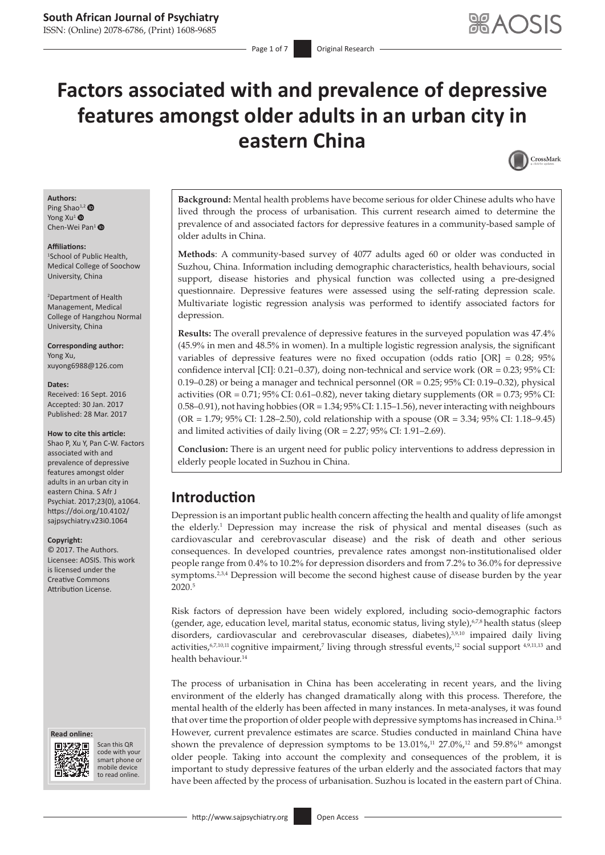# **Factors associated with and prevalence of depressive features amongst older adults in an urban city in eastern China**



#### **Authors:** Ping Sh[ao](http://orcid.org/0000-0003-4946-6664) $^{1,2}$  $^{1,2}$  $^{1,2}$ Yong Xu<sup>1</sup> <sup>O</sup> Chen-Wei Pan<sup>[1](http://orcid.org/0000-0003-3362-461)</sup>

#### **Affiliations:**

1 School of Public Health, Medical College of Soochow University, China

2 Department of Health Management, Medical College of Hangzhou Normal University, China

#### **Corresponding author:** Yong Xu,

[xuyong6988@126.com](mailto:xuyong6988@126.com)

#### **Dates:**

Received: 16 Sept. 2016 Accepted: 30 Jan. 2017 Published: 28 Mar. 2017

#### **How to cite this article:**

Shao P, Xu Y, Pan C-W. Factors associated with and prevalence of depressive features amongst older adults in an urban city in eastern China. S Afr J Psychiat. 2017;23(0), a1064. [https://doi.org/10.4102/](https://doi.org/10.4102/sajpsychiatry.v23i0.1064) [sajpsychiatry.v23i0.1064](https://doi.org/10.4102/sajpsychiatry.v23i0.1064)

#### **Copyright:**

© 2017. The Authors. Licensee: AOSIS. This work is licensed under the Creative Commons Attribution License.

#### **Read online: Read**



Scan this QR Scan this QR<br>code with your smart phone or smart phone or mobile mobile device to read online. to read online.

**Background:** Mental health problems have become serious for older Chinese adults who have lived through the process of urbanisation. This current research aimed to determine the prevalence of and associated factors for depressive features in a community-based sample of older adults in China.

**Methods**: A community-based survey of 4077 adults aged 60 or older was conducted in Suzhou, China. Information including demographic characteristics, health behaviours, social support, disease histories and physical function was collected using a pre-designed questionnaire. Depressive features were assessed using the self-rating depression scale. Multivariate logistic regression analysis was performed to identify associated factors for depression.

**Results:** The overall prevalence of depressive features in the surveyed population was 47.4% (45.9% in men and 48.5% in women). In a multiple logistic regression analysis, the significant variables of depressive features were no fixed occupation (odds ratio [OR] = 0.28; 95% confidence interval [CI]:  $0.21-0.37$ ), doing non-technical and service work (OR =  $0.23$ ;  $95\%$  CI: 0.19–0.28) or being a manager and technical personnel (OR = 0.25; 95% CI: 0.19–0.32), physical activities (OR =  $0.71$ ; 95% CI: 0.61–0.82), never taking dietary supplements (OR =  $0.73$ ; 95% CI:  $0.58-0.91$ ), not having hobbies (OR = 1.34;  $95\%$  CI: 1.15–1.56), never interacting with neighbours (OR = 1.79; 95% CI: 1.28–2.50), cold relationship with a spouse (OR = 3.34; 95% CI: 1.18–9.45) and limited activities of daily living (OR = 2.27; 95% CI: 1.91–2.69).

**Conclusion:** There is an urgent need for public policy interventions to address depression in elderly people located in Suzhou in China.

# **Introduction**

Depression is an important public health concern affecting the health and quality of life amongst the elderly.<sup>1</sup> Depression may increase the risk of physical and mental diseases (such as cardiovascular and cerebrovascular disease) and the risk of death and other serious consequences. In developed countries, prevalence rates amongst non-institutionalised older people range from 0.4% to 10.2% for depression disorders and from 7.2% to 36.0% for depressive symptoms.<sup>2,3,4</sup> Depression will become the second highest cause of disease burden by the year 2020.5

Risk factors of depression have been widely explored, including socio-demographic factors (gender, age, education level, marital status, economic status, living style), $67.8$  health status (sleep disorders, cardiovascular and cerebrovascular diseases, diabetes),<sup>3,9,10</sup> impaired daily living activities,  $67,10,11$  cognitive impairment,<sup>7</sup> living through stressful events,<sup>12</sup> social support  $4,9,11,13$  and health behaviour.14

The process of urbanisation in China has been accelerating in recent years, and the living environment of the elderly has changed dramatically along with this process. Therefore, the mental health of the elderly has been affected in many instances. In meta-analyses, it was found that over time the proportion of older people with depressive symptoms has increased in China.15 However, current prevalence estimates are scarce. Studies conducted in mainland China have shown the prevalence of depression symptoms to be  $13.01\%$ ,<sup>11</sup> 27.0%,<sup>12</sup> and 59.8%<sup>16</sup> amongst older people. Taking into account the complexity and consequences of the problem, it is important to study depressive features of the urban elderly and the associated factors that may have been affected by the process of urbanisation. Suzhou is located in the eastern part of China.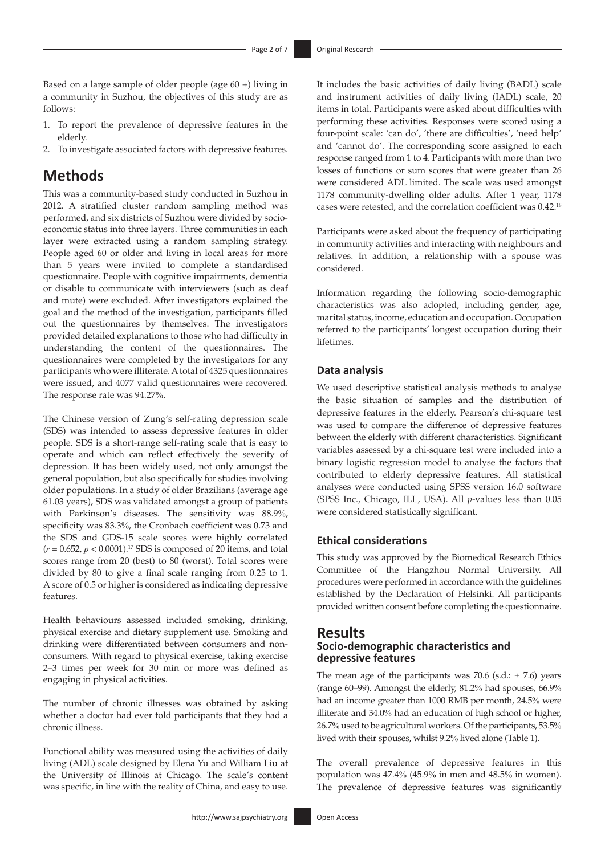Based on a large sample of older people (age 60 +) living in a community in Suzhou, the objectives of this study are as follows:

- 1. To report the prevalence of depressive features in the elderly.
- 2. To investigate associated factors with depressive features.

# **Methods**

This was a community-based study conducted in Suzhou in 2012. A stratified cluster random sampling method was performed, and six districts of Suzhou were divided by socioeconomic status into three layers. Three communities in each layer were extracted using a random sampling strategy. People aged 60 or older and living in local areas for more than 5 years were invited to complete a standardised questionnaire. People with cognitive impairments, dementia or disable to communicate with interviewers (such as deaf and mute) were excluded. After investigators explained the goal and the method of the investigation, participants filled out the questionnaires by themselves. The investigators provided detailed explanations to those who had difficulty in understanding the content of the questionnaires. The questionnaires were completed by the investigators for any participants who were illiterate. A total of 4325 questionnaires were issued, and 4077 valid questionnaires were recovered. The response rate was 94.27%.

The Chinese version of Zung's self-rating depression scale (SDS) was intended to assess depressive features in older people. SDS is a short-range self-rating scale that is easy to operate and which can reflect effectively the severity of depression. It has been widely used, not only amongst the general population, but also specifically for studies involving older populations. In a study of older Brazilians (average age 61.03 years), SDS was validated amongst a group of patients with Parkinson's diseases. The sensitivity was 88.9%, specificity was 83.3%, the Cronbach coefficient was 0.73 and the SDS and GDS-15 scale scores were highly correlated  $(r = 0.652, p < 0.0001).$ <sup>17</sup> SDS is composed of 20 items, and total scores range from 20 (best) to 80 (worst). Total scores were divided by 80 to give a final scale ranging from 0.25 to 1. A score of 0.5 or higher is considered as indicating depressive features.

Health behaviours assessed included smoking, drinking, physical exercise and dietary supplement use. Smoking and drinking were differentiated between consumers and nonconsumers. With regard to physical exercise, taking exercise 2–3 times per week for 30 min or more was defined as engaging in physical activities.

The number of chronic illnesses was obtained by asking whether a doctor had ever told participants that they had a chronic illness.

Functional ability was measured using the activities of daily living (ADL) scale designed by Elena Yu and William Liu at the University of Illinois at Chicago. The scale's content was specific, in line with the reality of China, and easy to use.

It includes the basic activities of daily living (BADL) scale and instrument activities of daily living (IADL) scale, 20 items in total. Participants were asked about difficulties with performing these activities. Responses were scored using a four-point scale: 'can do', 'there are difficulties', 'need help' and 'cannot do'. The corresponding score assigned to each response ranged from 1 to 4. Participants with more than two losses of functions or sum scores that were greater than 26 were considered ADL limited. The scale was used amongst 1178 community-dwelling older adults. After 1 year, 1178 cases were retested, and the correlation coefficient was 0.42.18

Participants were asked about the frequency of participating in community activities and interacting with neighbours and relatives. In addition, a relationship with a spouse was considered.

Information regarding the following socio-demographic characteristics was also adopted, including gender, age, marital status, income, education and occupation. Occupation referred to the participants' longest occupation during their lifetimes.

### **Data analysis**

We used descriptive statistical analysis methods to analyse the basic situation of samples and the distribution of depressive features in the elderly. Pearson's chi-square test was used to compare the difference of depressive features between the elderly with different characteristics. Significant variables assessed by a chi-square test were included into a binary logistic regression model to analyse the factors that contributed to elderly depressive features. All statistical analyses were conducted using SPSS version 16.0 software (SPSS Inc., Chicago, ILL, USA). All *p*-values less than 0.05 were considered statistically significant.

# **Ethical considerations**

This study was approved by the Biomedical Research Ethics Committee of the Hangzhou Normal University. All procedures were performed in accordance with the guidelines established by the Declaration of Helsinki. All participants provided written consent before completing the questionnaire.

# **Results Socio-demographic characteristics and depressive features**

The mean age of the participants was 70.6 (s.d.:  $\pm$  7.6) years (range 60–99). Amongst the elderly, 81.2% had spouses, 66.9% had an income greater than 1000 RMB per month, 24.5% were illiterate and 34.0% had an education of high school or higher, 26.7% used to be agricultural workers. Of the participants, 53.5% lived with their spouses, whilst 9.2% lived alone (Table 1).

The overall prevalence of depressive features in this population was 47.4% (45.9% in men and 48.5% in women). The prevalence of depressive features was significantly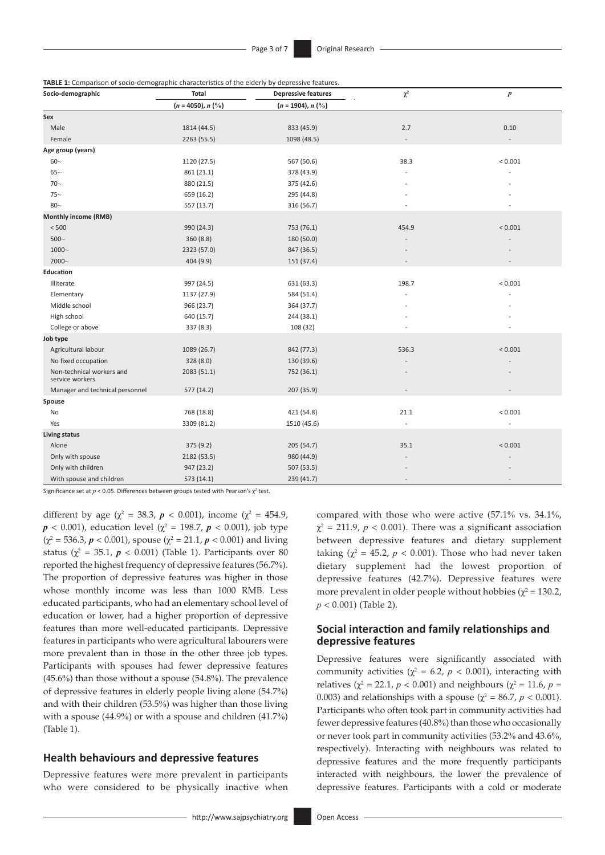**TABLE 1:** Comparison of socio-demographic characteristics of the elderly by depressive features.

| Socio-demographic                            | <b>Total</b>                   | <b>Depressive features</b>     | $\chi^2$       | $\boldsymbol{p}$ |  |
|----------------------------------------------|--------------------------------|--------------------------------|----------------|------------------|--|
|                                              | $(n = 4050), n$ $\binom{0}{0}$ | $(n = 1904), n$ $\binom{0}{0}$ |                |                  |  |
| Sex                                          |                                |                                |                |                  |  |
| Male                                         | 1814 (44.5)                    | 833 (45.9)<br>2.7              |                | 0.10             |  |
| Female                                       | 2263 (55.5)                    | 1098 (48.5)                    | $\overline{a}$ |                  |  |
| Age group (years)                            |                                |                                |                |                  |  |
| $60-$                                        | 1120 (27.5)                    | 567 (50.6)                     | 38.3           | ${}< 0.001$      |  |
| $65-$                                        | 861 (21.1)                     | 378 (43.9)                     |                |                  |  |
| $70-$                                        | 880 (21.5)                     | 375 (42.6)                     |                |                  |  |
| $75-$                                        | 659 (16.2)                     | 295 (44.8)                     |                |                  |  |
| $80 -$                                       | 557 (13.7)                     | 316 (56.7)                     |                |                  |  |
| Monthly income (RMB)                         |                                |                                |                |                  |  |
| $<500$                                       | 990 (24.3)                     | 753 (76.1)                     | 454.9          | < 0.001          |  |
| $500\sim$                                    | 360(8.8)                       | 180 (50.0)                     |                |                  |  |
| $1000\text{--}$                              | 2323 (57.0)                    | 847 (36.5)                     |                |                  |  |
| 2000~                                        | 404 (9.9)                      | 151 (37.4)                     |                |                  |  |
| Education                                    |                                |                                |                |                  |  |
| Illiterate                                   | 997 (24.5)                     | 631 (63.3)                     | 198.7          | < 0.001          |  |
| Elementary                                   | 1137 (27.9)                    | 584 (51.4)                     |                |                  |  |
| Middle school                                | 966 (23.7)                     | 364 (37.7)                     |                |                  |  |
| High school                                  | 640 (15.7)                     | 244 (38.1)                     |                |                  |  |
| College or above                             | 337 (8.3)                      | 108 (32)                       |                |                  |  |
| Job type                                     |                                |                                |                |                  |  |
| Agricultural labour                          | 1089 (26.7)                    | 842 (77.3)                     | 536.3          | < 0.001          |  |
| No fixed occupation                          | 328 (8.0)                      | 130 (39.6)                     |                |                  |  |
| Non-technical workers and<br>service workers | 2083 (51.1)                    | 752 (36.1)                     |                |                  |  |
| Manager and technical personnel              | 577 (14.2)                     | 207 (35.9)                     |                |                  |  |
| Spouse                                       |                                |                                |                |                  |  |
| No                                           | 768 (18.8)                     | 421 (54.8)                     | 21.1           | ${}< 0.001$      |  |
| Yes                                          | 3309 (81.2)                    | 1510 (45.6)                    |                |                  |  |
| <b>Living status</b>                         |                                |                                |                |                  |  |
| Alone                                        | 375 (9.2)                      | 205(54.7)                      | 35.1           | < 0.001          |  |
| Only with spouse                             | 2182 (53.5)                    | 980 (44.9)                     |                |                  |  |
| Only with children                           | 947 (23.2)                     | 507 (53.5)                     |                |                  |  |
| With spouse and children                     | 573 (14.1)                     | 239 (41.7)                     |                |                  |  |

Significance set at  $p < 0.05$ . Differences between groups tested with Pearson's  $\chi^2$  test.

different by age ( $\chi^2 = 38.3$ ,  $p < 0.001$ ), income ( $\chi^2 = 454.9$ ,  $p < 0.001$ ), education level ( $\chi^2 = 198.7$ ,  $p < 0.001$ ), job type  $(\chi^2 = 536.3, p < 0.001)$ , spouse  $(\chi^2 = 21.1, p < 0.001)$  and living status ( $\chi^2 = 35.1$ ,  $p < 0.001$ ) (Table 1). Participants over 80 reported the highest frequency of depressive features (56.7%). The proportion of depressive features was higher in those whose monthly income was less than 1000 RMB. Less educated participants, who had an elementary school level of education or lower, had a higher proportion of depressive features than more well-educated participants. Depressive features in participants who were agricultural labourers were more prevalent than in those in the other three job types. Participants with spouses had fewer depressive features (45.6%) than those without a spouse (54.8%). The prevalence of depressive features in elderly people living alone (54.7%) and with their children (53.5%) was higher than those living with a spouse (44.9%) or with a spouse and children (41.7%) (Table 1).

### **Health behaviours and depressive features**

Depressive features were more prevalent in participants who were considered to be physically inactive when compared with those who were active (57.1% vs. 34.1%,  $\chi^2$  = 211.9, *p* < 0.001). There was a significant association between depressive features and dietary supplement taking  $(\chi^2 = 45.2, p < 0.001)$ . Those who had never taken dietary supplement had the lowest proportion of depressive features (42.7%). Depressive features were more prevalent in older people without hobbies ( $\chi^2$  = 130.2, *p* < 0.001) (Table 2).

### **Social interaction and family relationships and depressive features**

Depressive features were significantly associated with community activities ( $\chi^2$  = 6.2, *p* < 0.001), interacting with relatives ( $\chi^2$  = 22.1, *p* < 0.001) and neighbours ( $\chi^2$  = 11.6, *p* = 0.003) and relationships with a spouse ( $\chi^2 = 86.7$ ,  $p < 0.001$ ). Participants who often took part in community activities had fewer depressive features (40.8%) than those who occasionally or never took part in community activities (53.2% and 43.6%, respectively). Interacting with neighbours was related to depressive features and the more frequently participants interacted with neighbours, the lower the prevalence of depressive features. Participants with a cold or moderate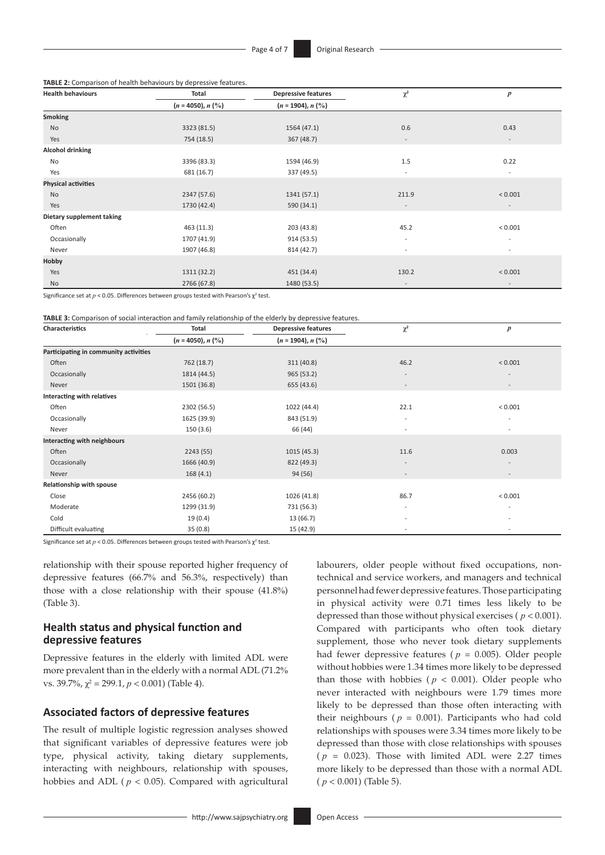**TABLE 2:** Comparison of health behaviours by depressive features.

| <b>Health behaviours</b>   | Total                                                 | <b>Depressive features</b>             | $\chi^2$                 | $\boldsymbol{p}$         |  |
|----------------------------|-------------------------------------------------------|----------------------------------------|--------------------------|--------------------------|--|
|                            | $(n = 4050), n$ (%)<br>$(n = 1904), n$ $\binom{0}{0}$ |                                        |                          |                          |  |
| <b>Smoking</b>             |                                                       |                                        |                          |                          |  |
| No                         | 3323 (81.5)                                           | 1564 (47.1)                            | 0.6                      |                          |  |
| Yes                        | 754 (18.5)                                            | 367 (48.7)                             | $\overline{\phantom{a}}$ | $\overline{\phantom{a}}$ |  |
| <b>Alcohol drinking</b>    |                                                       |                                        |                          |                          |  |
| No                         | 3396 (83.3)                                           | 1594 (46.9)                            | 1.5                      | 0.22                     |  |
| Yes                        | 681 (16.7)                                            | 337 (49.5)                             | $\overline{\phantom{a}}$ | $\overline{\phantom{a}}$ |  |
| <b>Physical activities</b> |                                                       |                                        |                          |                          |  |
| No                         | 2347 (57.6)                                           | 1341 (57.1)                            | 211.9                    | < 0.001                  |  |
| Yes                        | 1730 (42.4)                                           | 590 (34.1)<br>$\overline{\phantom{a}}$ |                          | $\overline{\phantom{a}}$ |  |
| Dietary supplement taking  |                                                       |                                        |                          |                          |  |
| Often                      | 463(11.3)                                             | 203 (43.8)<br>45.2                     |                          | < 0.001                  |  |
| Occasionally               | 1707 (41.9)                                           | 914 (53.5)                             | $\overline{\phantom{a}}$ | $\overline{\phantom{a}}$ |  |
| Never                      | 1907 (46.8)                                           | 814 (42.7)<br>$\overline{\phantom{a}}$ |                          | $\overline{\phantom{a}}$ |  |
| Hobby                      |                                                       |                                        |                          |                          |  |
| Yes                        | 1311 (32.2)                                           | 451 (34.4)<br>130.2                    |                          | < 0.001                  |  |
| No                         | 2766 (67.8)                                           | 1480 (53.5)                            | $\overline{\phantom{a}}$ | $\overline{\phantom{a}}$ |  |

Significance set at  $p < 0.05$ . Differences between groups tested with Pearson's  $\chi^2$  test.

**TABLE 3:** Comparison of social interaction and family relationship of the elderly by depressive features.

| Characteristics                       | Total               | $\cdots$<br><b>Depressive features</b> | $\chi^2$                 | $\boldsymbol{p}$         |  |
|---------------------------------------|---------------------|----------------------------------------|--------------------------|--------------------------|--|
|                                       | $(n = 4050), n$ (%) | $(n = 1904), n$ $(\%)$                 |                          |                          |  |
| Participating in community activities |                     |                                        |                          |                          |  |
| Often                                 | 762 (18.7)          | 311(40.8)<br>46.2                      |                          | < 0.001                  |  |
| Occasionally                          | 1814 (44.5)         | 965(53.2)                              | $\overline{\phantom{a}}$ | $\overline{a}$           |  |
| Never                                 | 1501 (36.8)         | 655 (43.6)                             | $\overline{\phantom{a}}$ | $\overline{\phantom{a}}$ |  |
| Interacting with relatives            |                     |                                        |                          |                          |  |
| Often                                 | 2302 (56.5)         | 1022 (44.4)                            | 22.1                     | < 0.001                  |  |
| Occasionally                          | 1625 (39.9)         | 843 (51.9)                             |                          |                          |  |
| Never                                 | 150(3.6)            | 66 (44)<br>$\sim$                      |                          | $\overline{\phantom{0}}$ |  |
| Interacting with neighbours           |                     |                                        |                          |                          |  |
| Often                                 | 2243 (55)           | 1015(45.3)                             | 11.6                     | 0.003                    |  |
| Occasionally                          | 1666 (40.9)         | 822 (49.3)                             | $\sim$                   |                          |  |
| Never                                 | 168(4.1)            | 94 (56)                                |                          |                          |  |
| Relationship with spouse              |                     |                                        |                          |                          |  |
| Close                                 | 2456 (60.2)         | 1026 (41.8)<br>86.7                    |                          | ${}< 0.001$              |  |
| Moderate                              | 1299 (31.9)         | 731 (56.3)                             | $\overline{\phantom{a}}$ | $\overline{\phantom{a}}$ |  |
| Cold                                  | 19(0.4)             | 13 (66.7)                              | $\sim$                   | $\overline{a}$           |  |
| Difficult evaluating                  | 35(0.8)             | 15 (42.9)                              | $\sim$                   | $\overline{\phantom{a}}$ |  |

Significance set at  $p < 0.05$ . Differences between groups tested with Pearson's  $\chi^2$  test.

relationship with their spouse reported higher frequency of depressive features (66.7% and 56.3%, respectively) than those with a close relationship with their spouse (41.8%) (Table 3).

### **Health status and physical function and depressive features**

Depressive features in the elderly with limited ADL were more prevalent than in the elderly with a normal ADL (71.2% vs. 39.7%,  $\chi^2$  = 299.1, *p* < 0.001) (Table 4).

### **Associated factors of depressive features**

The result of multiple logistic regression analyses showed that significant variables of depressive features were job type, physical activity, taking dietary supplements, interacting with neighbours, relationship with spouses, hobbies and ADL ( $p < 0.05$ ). Compared with agricultural technical and service workers, and managers and technical personnel had fewer depressive features. Those participating in physical activity were 0.71 times less likely to be depressed than those without physical exercises ( *p* < 0.001). Compared with participants who often took dietary supplement, those who never took dietary supplements had fewer depressive features ( $p = 0.005$ ). Older people without hobbies were 1.34 times more likely to be depressed than those with hobbies ( $p < 0.001$ ). Older people who never interacted with neighbours were 1.79 times more likely to be depressed than those often interacting with their neighbours ( $p = 0.001$ ). Participants who had cold relationships with spouses were 3.34 times more likely to be depressed than those with close relationships with spouses ( $p = 0.023$ ). Those with limited ADL were 2.27 times more likely to be depressed than those with a normal ADL ( *p* < 0.001) (Table 5).

labourers, older people without fixed occupations, non-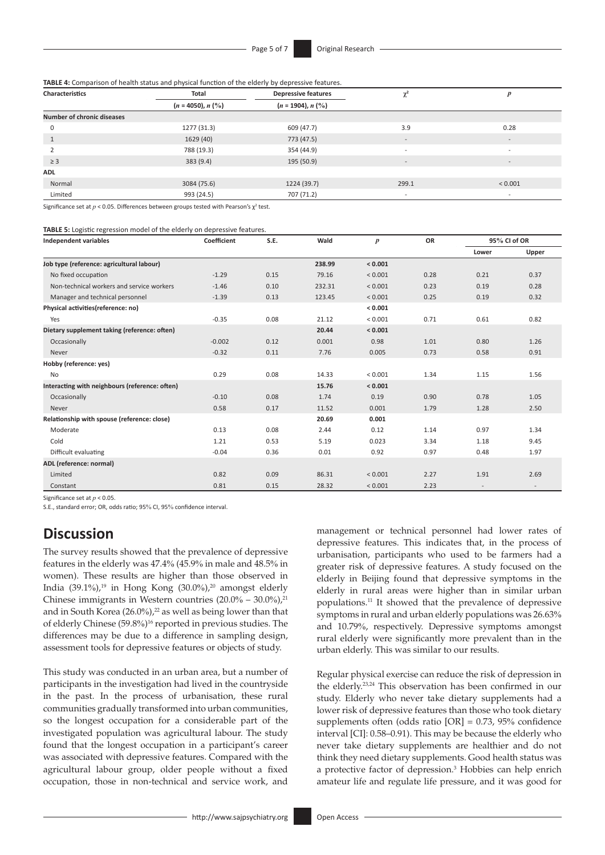**TABLE 4:** Comparison of health status and physical function of the elderly by depressive features.

| <b>Characteristics</b>            | Total               | <b>Depressive features</b>     | $\sim$<br>$\sim$         | p                        |  |
|-----------------------------------|---------------------|--------------------------------|--------------------------|--------------------------|--|
|                                   | $(n = 4050), n$ (%) | $(n = 1904), n$ $\binom{0}{0}$ |                          |                          |  |
| <b>Number of chronic diseases</b> |                     |                                |                          |                          |  |
| $\mathbf 0$                       | 1277 (31.3)         | 609 (47.7)                     | 3.9                      | 0.28                     |  |
| $\mathbf{1}$                      | 1629 (40)           | 773 (47.5)                     | $\overline{\phantom{a}}$ | $\overline{\phantom{a}}$ |  |
|                                   | 788 (19.3)          | 354 (44.9)                     | $\overline{\phantom{0}}$ | $\overline{\phantom{a}}$ |  |
| $\geq$ 3                          | 383(9.4)            | 195 (50.9)                     | $\overline{\phantom{a}}$ | $\overline{\phantom{a}}$ |  |
| <b>ADL</b>                        |                     |                                |                          |                          |  |
| Normal                            | 3084 (75.6)         | 1224 (39.7)                    | 299.1                    |                          |  |
| Limited                           | 993 (24.5)          | 707 (71.2)                     | $\overline{\phantom{a}}$ | $\overline{\phantom{a}}$ |  |

Significance set at  $p < 0.05$ . Differences between groups tested with Pearson's  $\chi^2$  test.

#### **TABLE 5:** Logistic regression model of the elderly on depressive features.

| <b>Independent variables</b>                   | Coefficient<br>S.E. |      | Wald   | $\boldsymbol{p}$ | <b>OR</b> | 95% CI of OR |       |
|------------------------------------------------|---------------------|------|--------|------------------|-----------|--------------|-------|
|                                                |                     |      |        |                  |           | Lower        | Upper |
| Job type (reference: agricultural labour)      |                     |      | 238.99 | < 0.001          |           |              |       |
| No fixed occupation                            | $-1.29$             | 0.15 | 79.16  | < 0.001          | 0.28      | 0.21         | 0.37  |
| Non-technical workers and service workers      | $-1.46$             | 0.10 | 232.31 | ${}< 0.001$      | 0.23      | 0.19         | 0.28  |
| Manager and technical personnel                | $-1.39$             | 0.13 | 123.45 | < 0.001          | 0.25      | 0.19         | 0.32  |
| Physical activities(reference: no)             |                     |      |        | < 0.001          |           |              |       |
| Yes                                            | $-0.35$             | 0.08 | 21.12  | ${}< 0.001$      | 0.71      | 0.61         | 0.82  |
| Dietary supplement taking (reference: often)   |                     |      | 20.44  | < 0.001          |           |              |       |
| Occasionally                                   | $-0.002$            | 0.12 | 0.001  | 0.98             | 1.01      | 0.80         | 1.26  |
| Never                                          | $-0.32$             | 0.11 | 7.76   | 0.005            | 0.73      | 0.58         | 0.91  |
| Hobby (reference: yes)                         |                     |      |        |                  |           |              |       |
| <b>No</b>                                      | 0.29                | 0.08 | 14.33  | ${}< 0.001$      | 1.34      | 1.15         | 1.56  |
| Interacting with neighbours (reference: often) |                     |      | 15.76  | < 0.001          |           |              |       |
| Occasionally                                   | $-0.10$             | 0.08 | 1.74   | 0.19             | 0.90      | 0.78         | 1.05  |
| Never                                          | 0.58                | 0.17 | 11.52  | 0.001            | 1.79      | 1.28         | 2.50  |
| Relationship with spouse (reference: close)    |                     |      | 20.69  | 0.001            |           |              |       |
| Moderate                                       | 0.13                | 0.08 | 2.44   | 0.12             | 1.14      | 0.97         | 1.34  |
| Cold                                           | 1.21                | 0.53 | 5.19   | 0.023            | 3.34      | 1.18         | 9.45  |
| Difficult evaluating                           | $-0.04$             | 0.36 | 0.01   | 0.92             | 0.97      | 0.48         | 1.97  |
| ADL (reference: normal)                        |                     |      |        |                  |           |              |       |
| Limited                                        | 0.82                | 0.09 | 86.31  | < 0.001          | 2.27      | 1.91         | 2.69  |
| Constant                                       | 0.81                | 0.15 | 28.32  | < 0.001          | 2.23      |              |       |

Significance set at *p* < 0.05.

S.E., standard error; OR, odds ratio; 95% CI, 95% confidence interval.

# **Discussion**

The survey results showed that the prevalence of depressive features in the elderly was 47.4% (45.9% in male and 48.5% in women). These results are higher than those observed in India (39.1%),<sup>19</sup> in Hong Kong (30.0%),<sup>20</sup> amongst elderly Chinese immigrants in Western countries  $(20.0\% - 30.0\%)$ ,<sup>21</sup> and in South Korea (26.0%),<sup>22</sup> as well as being lower than that of elderly Chinese (59.8%) 16 reported in previous studies. The differences may be due to a difference in sampling design, assessment tools for depressive features or objects of study.

This study was conducted in an urban area, but a number of participants in the investigation had lived in the countryside in the past. In the process of urbanisation, these rural communities gradually transformed into urban communities, so the longest occupation for a considerable part of the investigated population was agricultural labour. The study found that the longest occupation in a participant's career was associated with depressive features. Compared with the agricultural labour group, older people without a fixed occupation, those in non-technical and service work, and

management or technical personnel had lower rates of depressive features. This indicates that, in the process of urbanisation, participants who used to be farmers had a greater risk of depressive features. A study focused on the elderly in Beijing found that depressive symptoms in the elderly in rural areas were higher than in similar urban populations.11 It showed that the prevalence of depressive symptoms in rural and urban elderly populations was 26.63% and 10.79%, respectively. Depressive symptoms amongst rural elderly were significantly more prevalent than in the urban elderly. This was similar to our results.

Regular physical exercise can reduce the risk of depression in the elderly.23,24 This observation has been confirmed in our study. Elderly who never take dietary supplements had a lower risk of depressive features than those who took dietary supplements often (odds ratio [OR] = 0.73, 95% confidence interval [CI]: 0.58–0.91). This may be because the elderly who never take dietary supplements are healthier and do not think they need dietary supplements. Good health status was a protective factor of depression.3 Hobbies can help enrich amateur life and regulate life pressure, and it was good for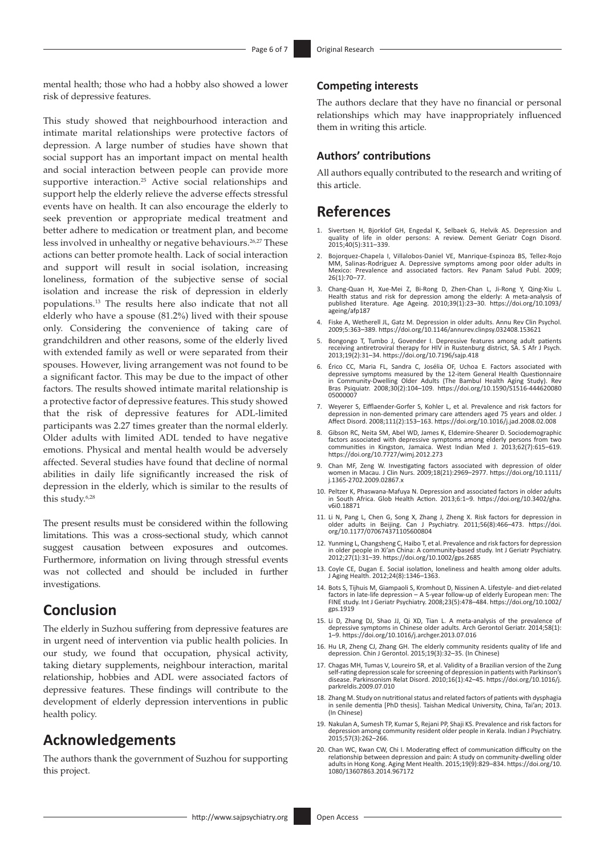mental health; those who had a hobby also showed a lower risk of depressive features.

This study showed that neighbourhood interaction and intimate marital relationships were protective factors of depression. A large number of studies have shown that social support has an important impact on mental health and social interaction between people can provide more supportive interaction.25 Active social relationships and support help the elderly relieve the adverse effects stressful events have on health. It can also encourage the elderly to seek prevention or appropriate medical treatment and better adhere to medication or treatment plan, and become less involved in unhealthy or negative behaviours.<sup>26,27</sup> These actions can better promote health. Lack of social interaction and support will result in social isolation, increasing loneliness, formation of the subjective sense of social isolation and increase the risk of depression in elderly populations.13 The results here also indicate that not all elderly who have a spouse (81.2%) lived with their spouse only. Considering the convenience of taking care of grandchildren and other reasons, some of the elderly lived with extended family as well or were separated from their spouses. However, living arrangement was not found to be a significant factor. This may be due to the impact of other factors. The results showed intimate marital relationship is a protective factor of depressive features. This study showed that the risk of depressive features for ADL-limited participants was 2.27 times greater than the normal elderly. Older adults with limited ADL tended to have negative emotions. Physical and mental health would be adversely affected. Several studies have found that decline of normal abilities in daily life significantly increased the risk of depression in the elderly, which is similar to the results of this study.6,28

The present results must be considered within the following limitations. This was a cross-sectional study, which cannot suggest causation between exposures and outcomes. Furthermore, information on living through stressful events was not collected and should be included in further investigations.

# **Conclusion**

The elderly in Suzhou suffering from depressive features are in urgent need of intervention via public health policies. In our study, we found that occupation, physical activity, taking dietary supplements, neighbour interaction, marital relationship, hobbies and ADL were associated factors of depressive features. These findings will contribute to the development of elderly depression interventions in public health policy.

# **Acknowledgements**

The authors thank the government of Suzhou for supporting this project.

### **Competing interests**

The authors declare that they have no financial or personal relationships which may have inappropriately influenced them in writing this article.

### **Authors' contributions**

All authors equally contributed to the research and writing of this article.

# **References**

- 1. Sivertsen H, Bjorklof GH, Engedal K, Selbaek G, Helvik AS. Depression and quality of life in older persons: A review. Dement Geriatr Cogn Disord. 2015;40(5):311–339.
- 2. Bojorquez-Chapela I, Villalobos-Daniel VE, Manrique-Espinoza BS, Tellez-Rojo MM, Salinas-Rodríguez A. Depressive symptoms among poor older adults in Mexico: Prevalence and associated factors. Rev Panam Salud Publ. 2009; 26(1):70–77.
- 3. Chang-Quan H, Xue-Mei Z, Bi-Rong D, Zhen-Chan L, Ji-Rong Y, Qing-Xiu L. Health status and risk for depression among the elderly: A meta-analysis of published literature. Age Ageing. 2010;39(1):23–30. [https://doi.org/10.1093/](https://doi.org/10.1093/ageing/afp187) [ageing/afp187](https://doi.org/10.1093/ageing/afp187)
- 4. Fiske A, Wetherell JL, Gatz M. Depression in older adults. Annu Rev Clin Psychol. 2009;5:363–389. <https://doi.org/10.1146/annurev.clinpsy.032408.153621>
- 5. Bongongo T, Tumbo J, Govender I. Depressive features among adult patients receiving antiretroviral therapy for HIV in Rustenburg district, SA. S Afr J Psych. 2013;19(2):31–34.<https://doi.org/10.7196/sajp.418>
- 6. Érico CC, Maria FL, Sandra C, Josélia OF, Uchoa E. Factors associated with depressive symptoms measured by the 12-item General Health Questionnaire in Community-Dwelling Older Adults (The Bambul Health Aging Study). Rev Bras Psiquiatr. 2008;30(2):104–109. [https://doi.org/10.1590/S1516-444620080](https://doi.org/10.1590/S1516-44462008005000007) [05000007](https://doi.org/10.1590/S1516-44462008005000007)
- 7. Weyerer S, Eifflaender-Gorfer S, Kohler L, et al. Prevalence and risk factors for depression in non-demented primary care attenders aged 75 years and older. J Affect Disord. 2008;111(2):153–163. <https://doi.org/10.1016/j.jad.2008.02.008>
- 8. Gibson RC, Neita SM, Abel WD, James K, Eldemire-Shearer D. Sociodemographic factors associated with depressive symptoms among elderly persons from two communities in Kingston, Jamaica. West Indian Med J. 2013;62(7):615–619. <https://doi.org/10.7727/wimj.2012.273>
- 9. Chan MF, Zeng W. Investigating factors associated with depression of older women in Macau. J Clin Nurs. 2009;18(21):2969–2977. [https://doi.org/10.1111/](https://doi.org/10.1111/j.1365-2702.2009.02867.x) [j.1365-2702.2009.02867.x](https://doi.org/10.1111/j.1365-2702.2009.02867.x)
- 10. Peltzer K, Phaswana-Mafuya N. Depression and associated factors in older adults in South Africa. Glob Health Action. 2013;6:1–9. [https://doi.org/10.3402/gha.](https://doi.org/10.3402/gha.v6i0.18871) [v6i0.18871](https://doi.org/10.3402/gha.v6i0.18871)
- 11. Li N, Pang L, Chen G, Song X, Zhang J, Zheng X. Risk factors for depression in older adults in Beijing. Can J Psychiatry. 2011;56(8):466–473. [https://doi.](https://doi.org/10.1177/070674371105600804) [org/10.1177/070674371105600804](https://doi.org/10.1177/070674371105600804)
- 12. Yunming L, Changsheng C, Haibo T, et al. Prevalence and risk factors for depression in older people in Xi'an China: A community-based study. Int J Geriatr Psychiatry. 2012;27(1):31–39.<https://doi.org/10.1002/gps.2685>
- 13. Coyle CE, Dugan E. Social isolation, loneliness and health among older adults. J Aging Health. 2012;24(8):1346–1363.
- 14. Bots S, Tijhuis M, Giampaoli S, Kromhout D, Nissinen A. Lifestyle- and diet-related factors in late-life depression – A 5-year follow-up of elderly European men: The FINE study. Int J Geriatr Psychiatry. 2008;23(5):478–484. [https://doi.org/10.1002/](https://doi.org/10.1002/gps.1919) [gps.1919](https://doi.org/10.1002/gps.1919)
- 15. Li D, Zhang DJ, Shao JJ, Qi XD, Tian L. A meta-analysis of the prevalence of depressive symptoms in Chinese older adults. Arch Gerontol Geriatr. 2014;58(1): 1–9.<https://doi.org/10.1016/j.archger.2013.07.016>
- 16. Hu LR, Zheng CJ, Zhang GH. The elderly community residents quality of life and depression. Chin J Gerontol. 2015;19(3):32–35. (In Chinese)
- 17. Chagas MH, Tumas V, Loureiro SR, et al. Validity of a Brazilian version of the Zung self-rating depression scale for screening of depression in patients with Parkinson's disease. Parkinsonism Relat Disord. 2010;16(1):42–45. [https://doi.org/10.1016/j.](https://doi.org/10.1016/j.parkreldis.2009.07.010) [parkreldis.2009.07.010](https://doi.org/10.1016/j.parkreldis.2009.07.010)
- 18. Zhang M. Study on nutritional status and related factors of patients with dysphagia in senile dementia [PhD thesis]. Taishan Medical University, China, Tai'an; 2013. (In Chinese)
- 19. Nakulan A, Sumesh TP, Kumar S, Rejani PP, Shaji KS. Prevalence and risk factors for depression among community resident older people in Kerala. Indian J Psychiatry. 2015;57(3):262–266.
- 20. Chan WC, Kwan CW, Chi I. Moderating effect of communication difficulty on the relationship between depression and pain: A study on community-dwelling older adults in Hong Kong. Aging Ment Health. 2015;19(9):829–834. [https://doi.org/10.](https://doi.org/10.1080/13607863.2014.967172) [1080/13607863.2014.967172](https://doi.org/10.1080/13607863.2014.967172)